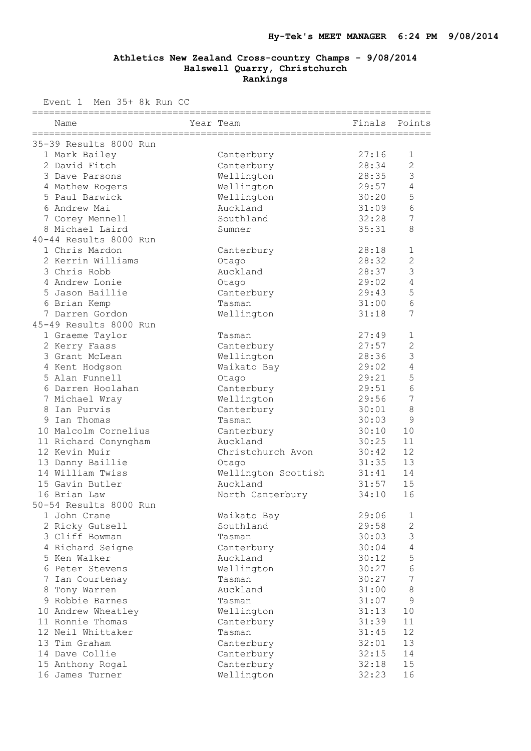Event 1 Men 35+ 8k Run CC

| Name                               | Year Team              | Finals Points  |                              |
|------------------------------------|------------------------|----------------|------------------------------|
| 35-39 Results 8000 Run             |                        |                |                              |
| 1 Mark Bailey                      | Canterbury             | 27:16          | $\mathbf{1}$                 |
| 2 David Fitch                      | Canterbury             | 28:34          | $\overline{c}$               |
| 3 Dave Parsons                     | Wellington             | 28:35          | 3                            |
| 4 Mathew Rogers                    | Wellington             | 29:57          | 4                            |
| 5 Paul Barwick                     | Wellington             | 30:20          | 5                            |
| 6 Andrew Mai                       | Auckland               | 31:09          | 6                            |
| 7 Corey Mennell                    | Southland              | 32:28          | 7                            |
| 8 Michael Laird                    | Sumner                 | 35:31          | 8                            |
| 40-44 Results 8000 Run             |                        |                |                              |
| 1 Chris Mardon                     | Canterbury             | 28:18          | $\mathbf 1$                  |
| 2 Kerrin Williams                  | Otago                  | 28:32          | $\overline{2}$               |
| 3 Chris Robb                       | Auckland               | 28:37          | 3                            |
| 4 Andrew Lonie                     | Otago                  | 29:02          | 4                            |
| 5 Jason Baillie                    | Canterbury             | 29:43          | 5                            |
| 6 Brian Kemp                       | Tasman                 | 31:00          | 6                            |
| 7 Darren Gordon                    | Wellington             | 31:18          | 7                            |
| 45-49 Results 8000 Run             |                        |                |                              |
| 1 Graeme Taylor                    | Tasman                 | 27:49          | $\mathbf{1}$                 |
| 2 Kerry Faass                      | Canterbury             | 27:57          | $\overline{2}$               |
| 3 Grant McLean                     | Wellington             | 28:36          | 3                            |
| 4 Kent Hodgson                     | Waikato Bay            | 29:02          | $\sqrt{4}$                   |
| 5 Alan Funnell                     | Otago                  | 29:21          | 5                            |
| 6 Darren Hoolahan                  | Canterbury             | 29:51          | 6                            |
| 7 Michael Wray                     | Wellington             | 29:56          | 7                            |
| 8 Ian Purvis                       | Canterbury             | 30:01          | 8                            |
| 9 Ian Thomas                       | Tasman                 | 30:03          | 9                            |
| 10 Malcolm Cornelius               | Canterbury             | 30:10          | 10                           |
| 11 Richard Conyngham               | Auckland               | 30:25          | 11                           |
| 12 Kevin Muir                      | Christchurch Avon      | 30:42          | 12                           |
| 13 Danny Baillie                   | Otago                  | 31:35          | 13                           |
| 14 William Twiss                   | Wellington Scottish    | 31:41          | 14                           |
| 15 Gavin Butler                    | Auckland               | 31:57          | 15                           |
| 16 Brian Law                       | North Canterbury       | 34:10          | 16                           |
| 50-54 Results 8000 Run             |                        |                |                              |
| 1 John Crane                       | Waikato Bay            | 29:06          | 1                            |
| 2 Ricky Gutsell                    | Southland              | 29:58          | $\overline{c}$               |
| 3 Cliff Bowman                     | Tasman                 | 30:03          | $\mathfrak{Z}$<br>$\sqrt{4}$ |
| 4 Richard Seigne<br>5 Ken Walker   | Canterbury<br>Auckland | 30:04          | 5                            |
|                                    | Wellington             | 30:12<br>30:27 | $\sqrt{6}$                   |
| 6 Peter Stevens<br>7 Ian Courtenay | Tasman                 | 30:27          | $\overline{7}$               |
| 8 Tony Warren                      | Auckland               | 31:00          | $\,8\,$                      |
| 9 Robbie Barnes                    | Tasman                 | 31:07          | $\mathsf 9$                  |
| 10 Andrew Wheatley                 | Wellington             | 31:13          | 10                           |
| 11 Ronnie Thomas                   | Canterbury             | 31:39          | 11                           |
| 12 Neil Whittaker                  | Tasman                 | 31:45          | 12                           |
| 13 Tim Graham                      | Canterbury             | 32:01          | 13                           |
| 14 Dave Collie                     | Canterbury             | 32:15          | 14                           |
| 15 Anthony Rogal                   | Canterbury             | 32:18          | 15                           |
| 16 James Turner                    | Wellington             | 32:23          | 16                           |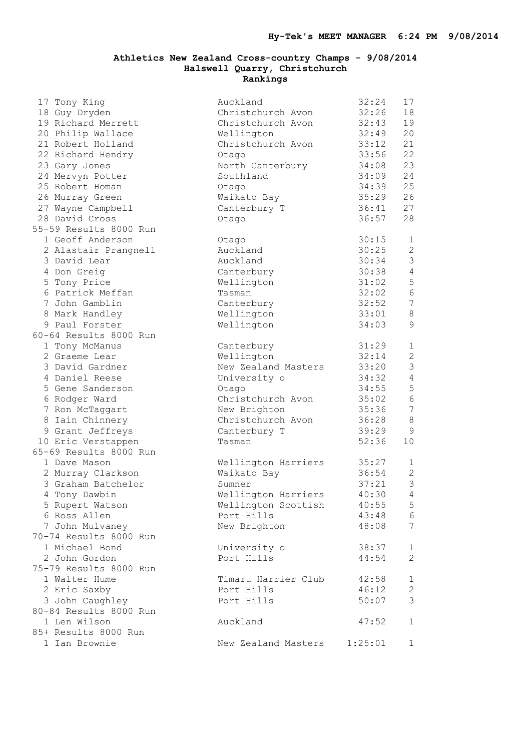| 17 Tony King           | Auckland                    | 32:24 | 17              |
|------------------------|-----------------------------|-------|-----------------|
| 18 Guy Dryden          | Christchurch Avon           | 32:26 | 18              |
| 19 Richard Merrett     | Christchurch Avon           | 32:43 | 19              |
| 20 Philip Wallace      | Wellington                  | 32:49 | 20              |
| 21 Robert Holland      | Christchurch Avon           | 33:12 | 21              |
| 22 Richard Hendry      | Otago                       | 33:56 | 22              |
| 23 Gary Jones          | North Canterbury            | 34:08 | 23              |
| 24 Mervyn Potter       | Southland                   | 34:09 | 24              |
| 25 Robert Homan        | Otago                       | 34:39 | 25              |
| 26 Murray Green        | Waikato Bay                 | 35:29 | 26              |
| 27 Wayne Campbell      | Canterbury T                | 36:41 | 27              |
| 28 David Cross         | Otago                       | 36:57 | 28              |
| 55-59 Results 8000 Run |                             |       |                 |
| 1 Geoff Anderson       | Otago                       | 30:15 | $\mathbf{1}$    |
| 2 Alastair Prangnell   | Auckland                    | 30:25 | $\overline{c}$  |
| 3 David Lear           | Auckland                    | 30:34 | $\mathfrak{Z}$  |
| 4 Don Greig            | Canterbury                  | 30:38 | $\overline{4}$  |
| 5 Tony Price           | Wellington                  | 31:02 | 5               |
| 6 Patrick Meffan       | Tasman                      | 32:02 | $6\phantom{1}6$ |
| 7 John Gamblin         | Canterbury                  | 32:52 | $\overline{7}$  |
| 8 Mark Handley         | Wellington                  | 33:01 | 8               |
| 9 Paul Forster         | Wellington                  | 34:03 | 9               |
| 60-64 Results 8000 Run |                             |       |                 |
| 1 Tony McManus         | Canterbury                  | 31:29 | $\mathbf{1}$    |
| 2 Graeme Lear          | Wellington                  | 32:14 | $\overline{c}$  |
| 3 David Gardner        | New Zealand Masters         | 33:20 | $\mathcal{S}$   |
| 4 Daniel Reese         | University o                | 34:32 | $\overline{4}$  |
| 5 Gene Sanderson       | Otago                       | 34:55 | 5               |
| 6 Rodger Ward          | Christchurch Avon           | 35:02 | $6\phantom{.}6$ |
| 7 Ron McTaggart        | New Brighton                | 35:36 | $\overline{7}$  |
| 8 Iain Chinnery        | Christchurch Avon           | 36:28 | 8               |
| 9 Grant Jeffreys       | Canterbury T                | 39:29 | 9               |
| 10 Eric Verstappen     | Tasman                      | 52:36 | 10              |
| 65-69 Results 8000 Run |                             |       |                 |
| 1 Dave Mason           | Wellington Harriers         | 35:27 | 1               |
| 2 Murray Clarkson      | Waikato Bay                 | 36:54 | $\overline{c}$  |
| 3 Graham Batchelor     | Sumner                      | 37:21 | $\mathfrak{Z}$  |
| 4 Tony Dawbin          | Wellington Harriers         | 40:30 | 4               |
| 5 Rupert Watson        | Wellington Scottish         | 40:55 | 5               |
| 6 Ross Allen           | Port Hills                  | 43:48 |                 |
| 7 John Mulvaney        | New Brighton                | 48:08 | 6<br>7          |
| 70-74 Results 8000 Run |                             |       |                 |
| 1 Michael Bond         |                             |       |                 |
| 2 John Gordon          | University o<br>Port Hills  | 38:37 | $\mathbf 1$     |
|                        |                             | 44:54 | $\mathbf{2}$    |
| 75-79 Results 8000 Run |                             |       |                 |
| 1 Walter Hume          | Timaru Harrier Club         | 42:58 | $\mathbf 1$     |
| 2 Eric Saxby           | Port Hills                  | 46:12 | $\mathbf{2}$    |
| 3 John Caughley        | Port Hills                  | 50:07 | 3               |
| 80-84 Results 8000 Run |                             |       |                 |
| 1 Len Wilson           | Auckland                    | 47:52 | $\mathbf{1}$    |
| 85+ Results 8000 Run   |                             |       |                 |
| 1 Ian Brownie          | New Zealand Masters 1:25:01 |       | 1               |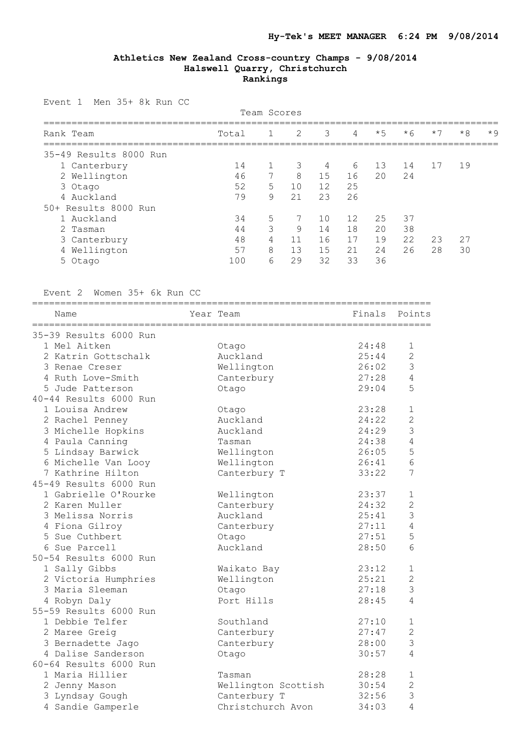Event 1 Men 35+ 8k Run CC

| Team Scores            |       |              |                |    |    |      |      |      |      |       |
|------------------------|-------|--------------|----------------|----|----|------|------|------|------|-------|
| Rank Team              | Total | $\mathbf{1}$ | $\overline{2}$ | 3  | 4  | $*5$ | $*6$ | $*7$ | $*8$ | $*$ 9 |
| 35-49 Results 8000 Run |       |              |                |    |    |      |      |      |      |       |
| 1 Canterbury           | 14    |              | 3              | 4  | 6  | 13   | 14   | 17   | 19   |       |
| 2 Wellington           | 46    | 7            | 8              | 15 | 16 | 20   | 24   |      |      |       |
| 3 Otago                | 52    | 5            | 10             | 12 | 25 |      |      |      |      |       |
| 4 Auckland             | 79    | 9            | 21             | 23 | 26 |      |      |      |      |       |
| 50+ Results 8000 Run   |       |              |                |    |    |      |      |      |      |       |
| 1 Auckland             | 34    | 5            |                | 10 | 12 | 25   | 37   |      |      |       |
| 2 Tasman               | 44    | 3            | 9              | 14 | 18 | 20   | 38   |      |      |       |
| 3 Canterbury           | 48    | 4            | 11             | 16 | 17 | 19   | 22   | 23   | 27   |       |
| 4 Wellington           | 57    | 8            | 13             | 15 | 21 | 24   | 26   | 28   | 30   |       |
| 5 Otago                | 100   | 6            | 29             | 32 | 33 | 36   |      |      |      |       |

Event 2 Women 35+ 6k Run CC

| Name                   | Year Team           | Finals Points |                |
|------------------------|---------------------|---------------|----------------|
|                        |                     |               |                |
| 35-39 Results 6000 Run |                     |               |                |
| 1 Mel Aitken           | Otago               | 24:48         | 1              |
| 2 Katrin Gottschalk    | Auckland            | 25:44         | $\overline{c}$ |
| 3 Renae Creser         | Wellington          | 26:02         | 3              |
| 4 Ruth Love-Smith      | Canterbury          | 27:28         | 4              |
| 5 Jude Patterson       | Otago               | 29:04         | 5              |
| 40-44 Results 6000 Run |                     |               |                |
| 1 Louisa Andrew        | Otago               | 23:28         | 1              |
| 2 Rachel Penney        | Auckland            | 24:22         | $\overline{2}$ |
| 3 Michelle Hopkins     | Auckland            | 24:29         | 3              |
| 4 Paula Canning        | Tasman              | 24:38         | $\overline{4}$ |
| 5 Lindsay Barwick      | Wellington          | 26:05         | 5              |
| 6 Michelle Van Looy    | Wellington          | 26:41         | 6              |
| 7 Kathrine Hilton      | Canterbury T        | 33:22         | 7              |
| 45-49 Results 6000 Run |                     |               |                |
| 1 Gabrielle O'Rourke   | Wellington          | 23:37         | 1              |
| 2 Karen Muller         | Canterbury          | 24:32         | $\overline{2}$ |
| 3 Melissa Norris       | Auckland            | 25:41         | 3              |
| 4 Fiona Gilroy         | Canterbury          | 27:11         | 4              |
| 5 Sue Cuthbert         | Otago               | 27:51         | 5              |
| 6 Sue Parcell          | Auckland            | 28:50         | 6              |
| 50-54 Results 6000 Run |                     |               |                |
| 1 Sally Gibbs          | Waikato Bay         | 23:12         | $\mathbf 1$    |
| 2 Victoria Humphries   | Wellington          | 25:21         | $\overline{2}$ |
| 3 Maria Sleeman        | Otago               | 27:18         | 3              |
| 4 Robyn Daly           | Port Hills          | 28:45         | 4              |
| 55-59 Results 6000 Run |                     |               |                |
| 1 Debbie Telfer        | Southland           | 27:10         | $\mathbf{1}$   |
| 2 Maree Greig          | Canterbury          | 27:47         | 2              |
| 3 Bernadette Jago      | Canterbury          | 28:00         | 3              |
| 4 Dalise Sanderson     | Otago               | 30:57         | 4              |
| 60-64 Results 6000 Run |                     |               |                |
| 1 Maria Hillier        | Tasman              | 28:28         | 1              |
| 2 Jenny Mason          | Wellington Scottish | 30:54         | $\overline{2}$ |
| 3 Lyndsay Gough        | Canterbury T        | 32:56         | 3              |
| 4 Sandie Gamperle      | Christchurch Avon   | 34:03         | $\overline{4}$ |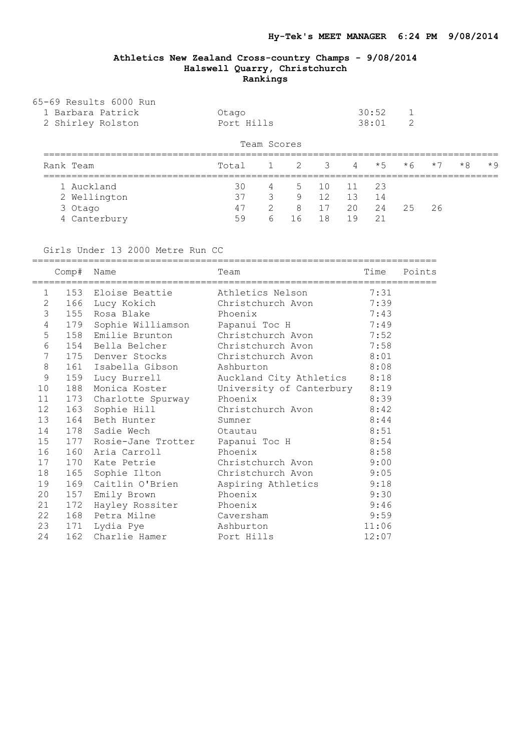| 65-69 Results 6000 Run |             |                  |     |
|------------------------|-------------|------------------|-----|
| 1 Barbara Patrick      | Otago       | $30:52 \qquad 1$ |     |
| 2 Shirley Rolston      | Port Hills  | 38:01            | - 2 |
|                        | Team Scores |                  |     |

| Rank Team    | Total |               |              |       |       | $1 \t2 \t3 \t4 \t\star 5 \t\star 6 \t\star 7$ |       |     | $*8$ $*9$ |  |
|--------------|-------|---------------|--------------|-------|-------|-----------------------------------------------|-------|-----|-----------|--|
| 1 Auckland   | 30    |               | 4 5 10 11 23 |       |       |                                               |       |     |           |  |
| 2 Wellington | 37    | 3             | 9 12         |       | 13    | 14                                            |       |     |           |  |
| 3 Otago      | 47    | $\mathcal{P}$ | 8 17         |       | 20 24 |                                               | $-25$ | -26 |           |  |
| 4 Canterbury | 59    |               | 6 16         | $-18$ | 19    | $\overline{21}$                               |       |     |           |  |

Girls Under 13 2000 Metre Run CC

========================================================================

|                | Comp#     | Name                                       | Team                                                                         | Time  | Points |
|----------------|-----------|--------------------------------------------|------------------------------------------------------------------------------|-------|--------|
|                | $1 \quad$ | ====================<br>153 Eloise Beattie | ;==============================<br>Athletics Nelson 7:31                     |       |        |
| $\mathbf{2}$   |           |                                            | 166 Lucy Kokich Christchurch Avon 7:39                                       |       |        |
| $\mathfrak{Z}$ |           | 155 Rosa Blake Phoenix                     |                                                                              | 7:43  |        |
| $\sqrt{4}$     |           | 179 Sophie Williamson Dapanui Toc H        |                                                                              | 7:49  |        |
| 5              |           |                                            | 158 Emilie Brunton Christchurch Avon 7:52                                    |       |        |
| $\epsilon$     |           |                                            | 154 Bella Belcher Christchurch Avon 7:58                                     |       |        |
| $\sqrt{ }$     |           |                                            | 175 Denver Stocks Christchurch Avon 8:01                                     |       |        |
| $\,8\,$        |           | 161 Isabella Gibson                        | Ashburton                                                                    | 8:08  |        |
| $\mathsf 9$    |           | 159 Lucy Burrell                           | Auckland City Athletics 8:18                                                 |       |        |
| 10             |           | 188 Monica Koster                          | University of Canterbury 8:19                                                |       |        |
| 11             |           |                                            |                                                                              |       |        |
| 12             |           |                                            | 173 Charlotte Spurway Phoenix 8:39<br>163 Sophie Hill Christchurch Avon 8:42 |       |        |
| 13             |           | 164 Beth Hunter                            | Sumner                                                                       | 8:44  |        |
| 14             |           | 178 Sadie Wech Otautau                     |                                                                              | 8:51  |        |
| 15             |           | 177 Rosie-Jane Trotter Papanui Toc H       |                                                                              | 8:54  |        |
| 16             |           | 160 Aria Carroll                           | Phoenix                                                                      | 8:58  |        |
| 17             |           |                                            | 170 Kate Petrie Christchurch Avon 9:00                                       |       |        |
| 18             |           |                                            | 165 Sophie Ilton Christchurch Avon 9:05                                      |       |        |
| 19             |           | 169 Caitlin O'Brien                        | Aspiring Athletics 9:18                                                      |       |        |
| 20             |           | 157 Emily Brown Phoenix                    |                                                                              | 9:30  |        |
| 21             |           | 172 Hayley Rossiter Phoenix                |                                                                              | 9:46  |        |
| 22             |           | 168 Petra Milne Caversham                  |                                                                              | 9:59  |        |
| 23             |           | 171 Lydia Pye                              | Ashburton                                                                    | 11:06 |        |
| 24             |           | 162 Charlie Hamer Port Hills               |                                                                              | 12:07 |        |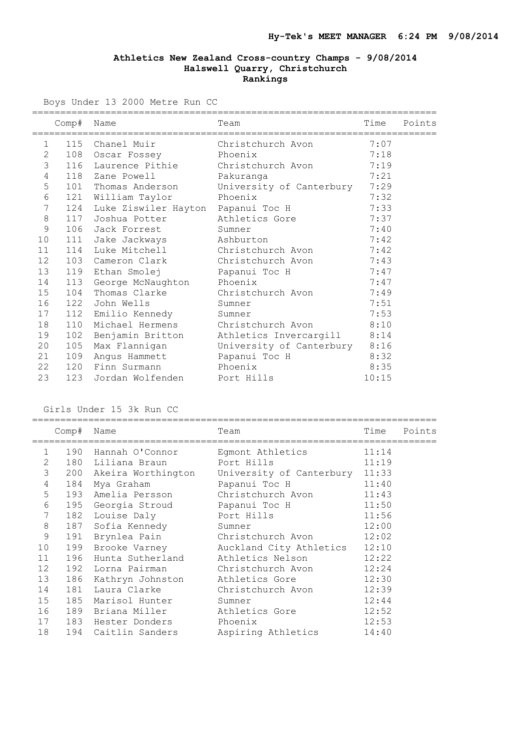Boys Under 13 2000 Metre Run CC

|                | Comp# | Name                                   | ======================================<br>Team | Time  | Points |
|----------------|-------|----------------------------------------|------------------------------------------------|-------|--------|
| $\mathbf 1$    |       | 115 Chanel Muir                        | Christchurch Avon                              | 7:07  |        |
| $\mathbf{2}$   |       | 108 Oscar Fossey                       | Phoenix                                        | 7:18  |        |
| $\mathfrak{Z}$ |       | 116 Laurence Pithie                    | Christchurch Avon                              | 7:19  |        |
| $\overline{4}$ |       | 118 Zane Powell                        | Pakuranga                                      | 7:21  |        |
| $\overline{5}$ |       | 101 Thomas Anderson                    | University of Canterbury                       | 7:29  |        |
| $\epsilon$     |       | 121 William Taylor                     | Phoenix                                        | 7:32  |        |
| 7              |       | 124 Luke Ziswiler Hayton Papanui Toc H |                                                | 7:33  |        |
| $\,8\,$        |       | 117 Joshua Potter                      | Athletics Gore                                 | 7:37  |        |
| 9              |       | 106 Jack Forrest                       | Sumner                                         | 7:40  |        |
| 10             |       | 111 Jake Jackways                      | Ashburton                                      | 7:42  |        |
| 11             | 114   | Luke Mitchell                          | Christchurch Avon                              | 7:42  |        |
| 12             |       | 103 Cameron Clark                      | Christchurch Avon                              | 7:43  |        |
| 13             |       | 119 Ethan Smolej                       | Papanui Toc H                                  | 7:47  |        |
| 14             |       | 113 George McNaughton                  | Phoenix                                        | 7:47  |        |
| 15             | 104   | Thomas Clarke                          | Christchurch Avon                              | 7:49  |        |
| 16             |       | 122 John Wells                         | Sumner                                         | 7:51  |        |
| 17             |       | 112 Emilio Kennedy                     | Sumner                                         | 7:53  |        |
| 18             | 110   | Michael Hermens                        | Christchurch Avon                              | 8:10  |        |
| 19             | 102   | Benjamin Britton                       | Athletics Invercargill                         | 8:14  |        |
| 20             | 105   | Max Flannigan                          | University of Canterbury 8:16                  |       |        |
| 21             |       | 109 Angus Hammett                      | Papanui Toc H                                  | 8:32  |        |
| 22             | 120   | Finn Surmann                           | Phoenix                                        | 8:35  |        |
| 23             | 123   | Jordan Wolfenden Port Hills            |                                                | 10:15 |        |

Girls Under 15 3k Run CC

|                | Comp# | Name                               | Team                                                  | Time  | Points |
|----------------|-------|------------------------------------|-------------------------------------------------------|-------|--------|
| 1              | 190   | Hannah O'Connor                    | Eqmont Athletics                                      | 11:14 |        |
| 2              | 180   | Liliana Braun                      | Port Hills                                            | 11:19 |        |
| 3              |       |                                    | 200 Akeira Worthington University of Canterbury 11:33 |       |        |
| $\overline{4}$ | 184   | Mya Graham                         | 11:40<br>Papanui Toc H                                |       |        |
| 5              | 193   | Amelia Persson                     | Christchurch Avon 11:43                               |       |        |
| 6              |       | 195 Georgia Stroud                 | Papanui Toc H                                         | 11:50 |        |
|                | 7     | 182 Louise Daly                    | Port Hills                                            | 11:56 |        |
| 8              |       | 187 Sofia Kennedy                  | Sumner                                                | 12:00 |        |
| 9              |       | 191 Brynlea Pain Christchurch Avon |                                                       | 12:02 |        |
| 10             | 199   | Brooke Varney                      | Auckland City Athletics 12:10                         |       |        |
| 11             | 196   | Hunta Sutherland                   | Athletics Nelson                                      | 12:22 |        |
| 12             |       | 192 Lorna Pairman                  | Christchurch Avon                                     | 12:24 |        |
| 13             | 186   | Kathryn Johnston                   | Athletics Gore                                        | 12:30 |        |
| 14             |       | 181 Laura Clarke                   | Christchurch Avon                                     | 12:39 |        |
| 15             | 185   | Marisol Hunter                     | Sumner                                                | 12:44 |        |
| 16             | 189   | Briana Miller                      | Athletics Gore                                        | 12:52 |        |
| 17             | 183   | Hester Donders                     | Phoenix                                               | 12:53 |        |
| 18             | 194   | Caitlin Sanders                    | Aspiring Athletics                                    | 14:40 |        |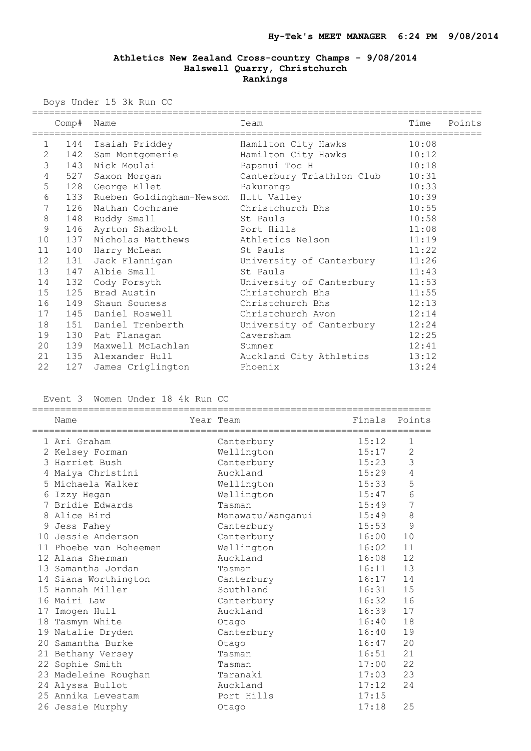Boys Under 15 3k Run CC

|                |       | ==========================       |                           |       |        |
|----------------|-------|----------------------------------|---------------------------|-------|--------|
|                | Comp# | Name<br>======================== | Team                      | Time  | Points |
| $\mathbf{1}$   |       | 144 Isaiah Priddey               | Hamilton City Hawks       | 10:08 |        |
| $\overline{c}$ |       | 142 Sam Montgomerie              | Hamilton City Hawks       | 10:12 |        |
| 3              | 143   | Nick Moulai                      | Papanui Toc H             | 10:18 |        |
| $\overline{4}$ |       | 527 Saxon Morgan                 | Canterbury Triathlon Club | 10:31 |        |
| 5              |       | 128 George Ellet                 | Pakuranga                 | 10:33 |        |
| $\epsilon$     | 133   | Rueben Goldingham-Newsom         | Hutt Valley               | 10:39 |        |
| $\overline{7}$ | 126   | Nathan Cochrane                  | Christchurch Bhs          | 10:55 |        |
| $\,8\,$        | 148   | Buddy Small                      | St Pauls                  | 10:58 |        |
| 9              | 146   | Ayrton Shadbolt                  | Port Hills                | 11:08 |        |
| 10             | 137   | Nicholas Matthews                | Athletics Nelson          | 11:19 |        |
| 11             | 140   | Harry McLean                     | St Pauls                  | 11:22 |        |
| 12             | 131   | Jack Flannigan                   | University of Canterbury  | 11:26 |        |
| 13             | 147   | Albie Small                      | St Pauls                  | 11:43 |        |
| 14             |       | 132 Cody Forsyth                 | University of Canterbury  | 11:53 |        |
| 15             | 125   | Brad Austin                      | Christchurch Bhs          | 11:55 |        |
| 16             | 149   | Shaun Souness                    | Christchurch Bhs          | 12:13 |        |
| 17             | 145   | Daniel Roswell                   | Christchurch Avon         | 12:14 |        |
| 18             | 151   | Daniel Trenberth                 | University of Canterbury  | 12:24 |        |
| 19             | 130   | Pat Flanagan                     | Caversham                 | 12:25 |        |
| 20             | 139   | Maxwell McLachlan                | Sumner                    | 12:41 |        |
| 21             | 135   | Alexander Hull                   | Auckland City Athletics   | 13:12 |        |
| 22             | 127   | James Criglington                | Phoenix                   | 13:24 |        |

Event 3 Women Under 18 4k Run CC

|    | Name                 | Year Team         | Finals Points |                |
|----|----------------------|-------------------|---------------|----------------|
|    | 1 Ari Graham         | Canterbury        | 15:12         | $\mathbf{1}$   |
|    | 2 Kelsey Forman      | Wellington        | 15:17         | 2              |
|    | 3 Harriet Bush       | Canterbury        | 15:23         | $\mathcal{S}$  |
| 4  | Maiya Christini      | Auckland          | 15:29         | $\overline{4}$ |
|    | 5 Michaela Walker    | Wellington        | 15:33         | 5              |
| 6  | Izzy Hegan           | Wellington        | 15:47         | $\epsilon$     |
| 7  | Bridie Edwards       | Tasman            | 15:49         | 7              |
| 8  | Alice Bird           | Manawatu/Wanganui | 15:49         | 8              |
| 9  | Jess Fahey           | Canterbury        | 15:53         | 9              |
| 10 | Jessie Anderson      | Canterbury        | 16:00         | 10             |
| 11 | Phoebe van Boheemen  | Wellington        | 16:02         | 11             |
|    | 12 Alana Sherman     | Auckland          | 16:08         | 12             |
|    | 13 Samantha Jordan   | Tasman            | 16:11         | 13             |
|    | 14 Siana Worthington | Canterbury        | 16:17         | 14             |
|    | 15 Hannah Miller     | Southland         | 16:31         | 15             |
|    | 16 Mairi Law         | Canterbury        | 16:32         | 16             |
| 17 | Imogen Hull          | Auckland          | 16:39         | 17             |
| 18 | Tasmyn White         | Otago             | 16:40         | 18             |
|    | 19 Natalie Dryden    | Canterbury        | 16:40         | 19             |
| 20 | Samantha Burke       | Otago             | 16:47         | 20             |
|    | 21 Bethany Versey    | Tasman            | 16:51         | 21             |
|    | 22 Sophie Smith      | Tasman            | 17:00         | 22             |
|    | 23 Madeleine Roughan | Taranaki          | 17:03         | 23             |
|    | 24 Alyssa Bullot     | Auckland          | 17:12         | 24             |
|    | 25 Annika Levestam   | Port Hills        | 17:15         |                |
|    | 26 Jessie Murphy     | Otago             | 17:18         | 25             |
|    |                      |                   |               |                |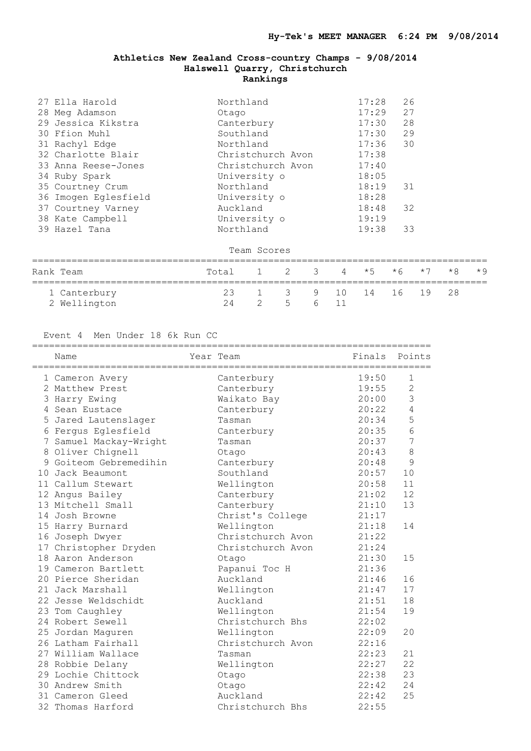| 27 Ella Harold       | Northland         | 17:28 | 26 |
|----------------------|-------------------|-------|----|
| 28 Meg Adamson       | Otago             | 17:29 | 27 |
| 29 Jessica Kikstra   | Canterbury        | 17:30 | 28 |
| 30 Ffion Muhl        | Southland         | 17:30 | 29 |
| 31 Rachyl Edge       | Northland         | 17:36 | 30 |
| 32 Charlotte Blair   | Christchurch Avon | 17:38 |    |
| 33 Anna Reese-Jones  | Christchurch Avon | 17:40 |    |
| 34 Ruby Spark        | University o      | 18:05 |    |
| 35 Courtney Crum     | Northland         | 18:19 | 31 |
| 36 Imogen Eglesfield | University o      | 18:28 |    |
| 37 Courtney Varney   | Auckland          | 18:48 | 32 |
| 38 Kate Campbell     | University o      | 19:19 |    |
| 39 Hazel Tana        | Northland         | 19:38 | 33 |

Team Scores

| Rank Team    | Total 1 2 3 4 $*5$ $*6$ $*7$ $*8$ $*9$ |                         |  |  |  |  |
|--------------|----------------------------------------|-------------------------|--|--|--|--|
| 1 Canterbury |                                        | 23 1 3 9 10 14 16 19 28 |  |  |  |  |
| 2 Wellington | 24                                     | 2 5 6 11                |  |  |  |  |

# Event 4 Men Under 18 6k Run CC

|   | Name                   | Year Team         | Finals Points |                |
|---|------------------------|-------------------|---------------|----------------|
|   | 1 Cameron Avery        | Canterbury        | 19:50         | $\mathbf{1}$   |
|   | 2 Matthew Prest        | Canterbury        | 19:55         | $\overline{2}$ |
|   | 3 Harry Ewing          | Waikato Bay       | 20:00         | $\mathcal{S}$  |
|   | 4 Sean Eustace         | Canterbury        | 20:22         | $\overline{4}$ |
|   | 5 Jared Lautenslager   | Tasman            | 20:34         | 5              |
|   | 6 Fergus Eglesfield    | Canterbury        | 20:35         | $6\phantom{1}$ |
|   | 7 Samuel Mackay-Wright | Tasman            | 20:37         | $\overline{7}$ |
|   | 8 Oliver Chignell      | Otago             | 20:43         | 8              |
| 9 | Goiteom Gebremedihin   | Canterbury        | 20:48         | 9              |
|   | 10 Jack Beaumont       | Southland         | 20:57         | 10             |
|   | 11 Callum Stewart      | Wellington        | 20:58         | 11             |
|   | 12 Angus Bailey        | Canterbury        | 21:02         | 12             |
|   | 13 Mitchell Small      | Canterbury        | 21:10         | 13             |
|   | 14 Josh Browne         | Christ's College  | 21:17         |                |
|   | 15 Harry Burnard       | Wellington        | 21:18         | 14             |
|   | 16 Joseph Dwyer        | Christchurch Avon | 21:22         |                |
|   | 17 Christopher Dryden  | Christchurch Avon | 21:24         |                |
|   | 18 Aaron Anderson      | Otago             | 21:30         | 15             |
|   | 19 Cameron Bartlett    | Papanui Toc H     | 21:36         |                |
|   | 20 Pierce Sheridan     | Auckland          | 21:46         | 16             |
|   | 21 Jack Marshall       | Wellington        | 21:47         | 17             |
|   | 22 Jesse Weldschidt    | Auckland          | 21:51         | 18             |
|   | 23 Tom Caughley        | Wellington        | 21:54         | 19             |
|   | 24 Robert Sewell       | Christchurch Bhs  | 22:02         |                |
|   | 25 Jordan Maguren      | Wellington        | 22:09         | 20             |
|   | 26 Latham Fairhall     | Christchurch Avon | 22:16         |                |
|   | 27 William Wallace     | Tasman            | 22:23         | 21             |
|   | 28 Robbie Delany       | Wellington        | 22:27         | 22             |
|   | 29 Lochie Chittock     | Otago             | 22:38         | 23             |
|   | 30 Andrew Smith        | Otago             | 22:42         | 24             |
|   | 31 Cameron Gleed       | Auckland          | 22:42         | 25             |
|   | 32 Thomas Harford      | Christchurch Bhs  | 22:55         |                |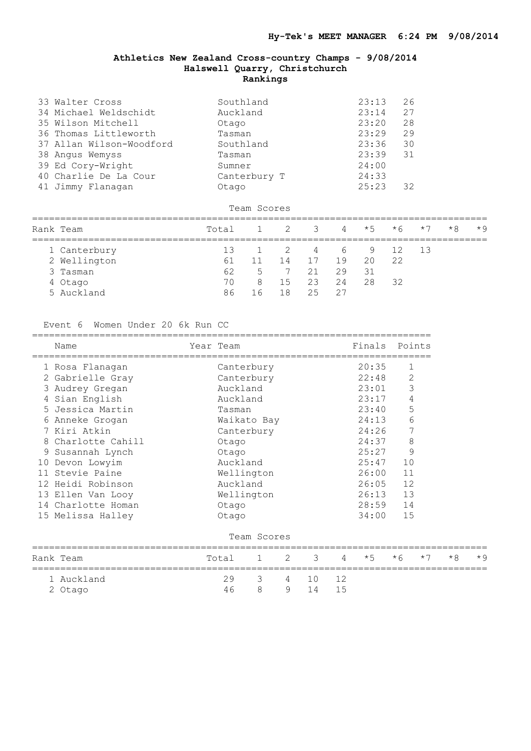| 33 Walter Cross          | Southland    | 23:13 | 26 |
|--------------------------|--------------|-------|----|
| 34 Michael Weldschidt    | Auckland     | 23:14 | 27 |
| 35 Wilson Mitchell       | Otago        | 23:20 | 28 |
| 36 Thomas Littleworth    | Tasman       | 23:29 | 29 |
| 37 Allan Wilson-Woodford | Southland    | 23:36 | 30 |
| 38 Angus Wemyss          | Tasman       | 23:39 | 31 |
| 39 Ed Cory-Wright        | Sumner       | 24:00 |    |
| 40 Charlie De La Cour    | Canterbury T | 24:33 |    |
| 41 Jimmy Flanagan        | Otago        | 25:23 | 32 |
|                          |              |       |    |
|                          | Team Scores  |       |    |

| Rank Team    | Total |                 | $1 \t2 \t3 \t4 \t\star 5 \t\star 6 \t\star 7$ |       |    |    |    |                                       | $*8$ $*9$ |
|--------------|-------|-----------------|-----------------------------------------------|-------|----|----|----|---------------------------------------|-----------|
| 1 Canterbury |       | 13 1 2 4 6 9 12 |                                               |       |    |    |    | $\begin{array}{cc} 1 & 3 \end{array}$ |           |
| 2 Wellington | 61    | 11              | 14                                            | 17 19 |    | 20 | 22 |                                       |           |
| 3 Tasman     | 62    |                 | 5 7 21                                        |       | 29 | 31 |    |                                       |           |
| 4 Otago      | 70    | - 8             | 15                                            | 23    | 24 | 28 | 32 |                                       |           |
| 5 Auckland   | 86    | 16              | 18                                            | - 25  |    |    |    |                                       |           |

#### Event 6 Women Under 20 6k Run CC

|   | Name               | Year Team   |              |   |    |    | Finals    |             | Points |  |
|---|--------------------|-------------|--------------|---|----|----|-----------|-------------|--------|--|
|   | 1 Rosa Flanagan    | Canterbury  |              |   |    |    | 20:35     | 1           |        |  |
|   | 2 Gabrielle Gray   | Canterbury  |              |   |    |    | 22:48     | $\mathbf 2$ |        |  |
|   | 3 Audrey Gregan    | Auckland    |              |   |    |    | 23:01     | 3           |        |  |
|   | 4 Sian English     | Auckland    |              |   |    |    | 23:17     | 4           |        |  |
|   | 5 Jessica Martin   | Tasman      |              |   |    |    | 23:40     | 5           |        |  |
|   | 6 Anneke Grogan    | Waikato Bay |              |   |    |    | 24:13     |             | 6      |  |
|   | 7 Kiri Atkin       | Canterbury  |              |   |    |    | 24:26     |             | 7      |  |
|   | 8 Charlotte Cahill | Otago       |              |   |    |    | 24:37     | $\,8\,$     |        |  |
| 9 | Susannah Lynch     | Otago       |              |   |    |    | 25:27     | $\mathsf 9$ |        |  |
|   | 10 Devon Lowyim    | Auckland    |              |   |    |    | 25:47     | 10          |        |  |
|   | 11 Stevie Paine    | Wellington  |              |   |    |    | 26:00     | 11          |        |  |
|   | 12 Heidi Robinson  | Auckland    |              |   |    |    | 26:05     | 12          |        |  |
|   | 13 Ellen Van Looy  | Wellington  |              |   |    |    | 26:13     | 13          |        |  |
|   | 14 Charlotte Homan | Otago       |              |   |    |    | 28:59     | 14          |        |  |
|   | 15 Melissa Halley  | Otago       |              |   |    |    | 34:00     | 15          |        |  |
|   |                    |             | Team Scores  |   |    |    |           |             |        |  |
|   | Rank Team          | Total       | $\mathbf{1}$ | 2 | 3  | 4  | $\star$ 5 | $*6$        | $*7$   |  |
|   | 1 Auckland         | 29          | 3            | 4 | 10 | 12 |           |             |        |  |
|   | 2 Otago            | 46          | 8            | 9 | 14 | 15 |           |             |        |  |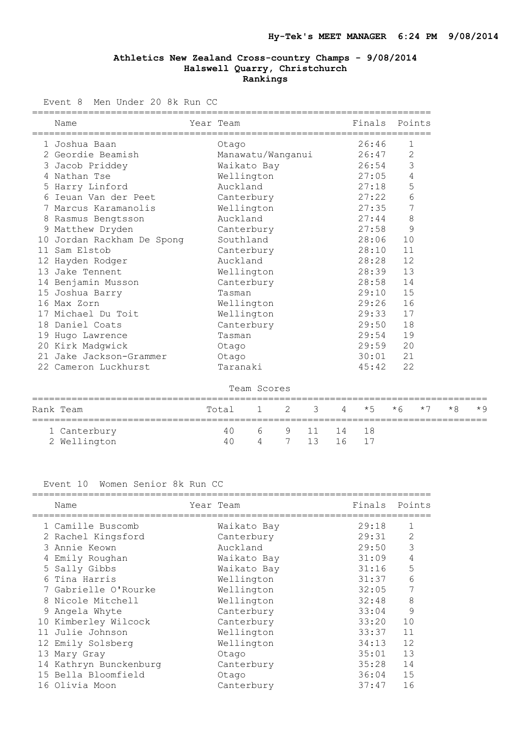Event 8 Men Under 20 8k Run CC

|    | =============<br>Name      | Year Team         | Finals | Points         |
|----|----------------------------|-------------------|--------|----------------|
|    | 1 Joshua Baan              | Otago             | 26:46  | 1              |
|    | 2 Geordie Beamish          | Manawatu/Wanganui | 26:47  | $\mathbf{2}$   |
|    | 3 Jacob Priddey            | Waikato Bay       | 26:54  | 3              |
| 4  | Nathan Tse                 | Wellington        | 27:05  | $\overline{4}$ |
|    | 5 Harry Linford            | Auckland          | 27:18  | 5              |
| 6  | Ieuan Van der Peet         | Canterbury        | 27:22  | 6              |
| 7  | Marcus Karamanolis         | Wellington        | 27:35  | 7              |
| 8  | Rasmus Bengtsson           | Auckland          | 27:44  | $\,8\,$        |
|    | 9 Matthew Dryden           | Canterbury        | 27:58  | 9              |
|    | 10 Jordan Rackham De Spong | Southland         | 28:06  | 10             |
| 11 | Sam Elstob                 | Canterbury        | 28:10  | 11             |
|    | 12 Hayden Rodger           | Auckland          | 28:28  | 12             |
|    | 13 Jake Tennent            | Wellington        | 28:39  | 13             |
|    | 14 Benjamin Musson         | Canterbury        | 28:58  | 14             |
|    | 15 Joshua Barry            | Tasman            | 29:10  | 15             |
|    | 16 Max Zorn                | Wellington        | 29:26  | 16             |
|    | 17 Michael Du Toit         | Wellington        | 29:33  | 17             |
|    | 18 Daniel Coats            | Canterbury        | 29:50  | 18             |
|    | 19 Hugo Lawrence           | Tasman            | 29:54  | 19             |
|    | 20 Kirk Madgwick           | Otago             | 29:59  | 20             |
|    | 21 Jake Jackson-Grammer    | Otago             | 30:01  | 21             |
|    | 22 Cameron Luckhurst       | Taranaki          | 45:42  | 22             |

Team Scores

| Rank Team                    | Total 1 2 3 4 $*5$ $*6$ $*7$ $*8$ $*9$ |  |                              |  |  |  |
|------------------------------|----------------------------------------|--|------------------------------|--|--|--|
| 1 Canterbury<br>2 Wellington | 40 -<br>4 N                            |  | 6 9 11 14 18<br>4 7 13 16 17 |  |  |  |

# Event 10 Women Senior 8k Run CC

|   | Name                   | Year Team   | Finals | Points |
|---|------------------------|-------------|--------|--------|
|   | 1 Camille Buscomb      | Waikato Bay | 29:18  |        |
|   | 2 Rachel Kingsford     | Canterbury  | 29:31  |        |
|   | 3 Annie Keown          | Auckland    | 29:50  | 3      |
| 4 | Emily Roughan          | Waikato Bay | 31:09  | 4      |
|   | 5 Sally Gibbs          | Waikato Bay | 31:16  | 5      |
|   | 6 Tina Harris          | Wellington  | 31:37  | 6      |
|   | Gabrielle O'Rourke     | Wellington  | 32:05  | 7      |
| 8 | Nicole Mitchell        | Wellington  | 32:48  | 8      |
|   | 9 Angela Whyte         | Canterbury  | 33:04  | 9      |
|   | 10 Kimberley Wilcock   | Canterbury  | 33:20  | 10     |
|   | Julie Johnson          | Wellington  | 33:37  | 11     |
|   | 12 Emily Solsberg      | Wellington  | 34:13  | 12     |
|   | 13 Mary Gray           | Otago       | 35:01  | 13     |
|   | 14 Kathryn Bunckenburg | Canterbury  | 35:28  | 14     |
|   | 15 Bella Bloomfield    | Otago       | 36:04  | 15     |
|   | 16 Olivia Moon         | Canterbury  | 37:47  | 16     |